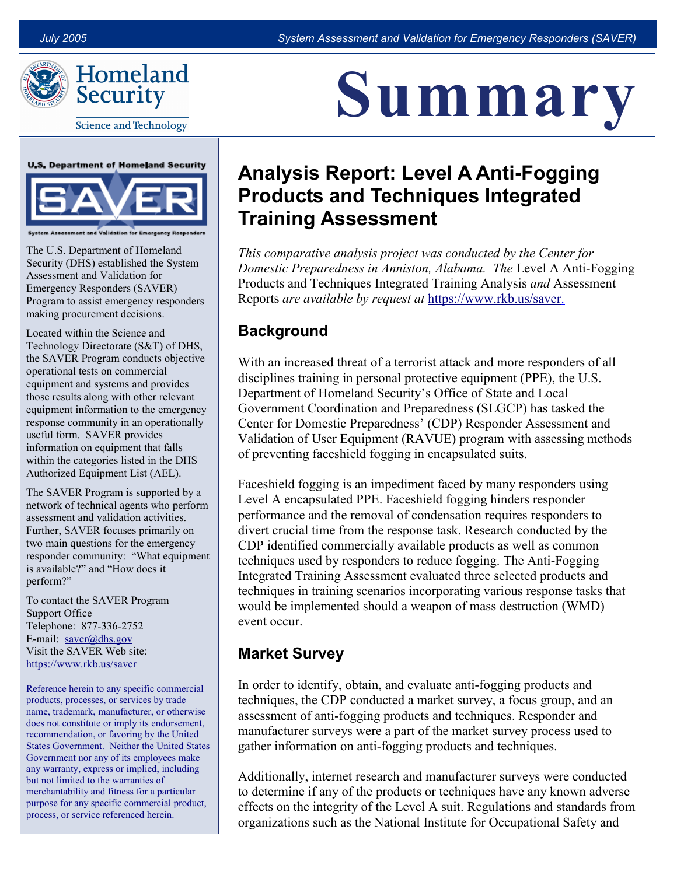

Homeland Security

**Science and Technology** 





Assessment and Validation for Emergency Re

The U.S. Department of Homeland Security (DHS) established the System Assessment and Validation for Emergency Responders (SAVER) Program to assist emergency responders making procurement decisions.

Located within the Science and Technology Directorate (S&T) of DHS, the SAVER Program conducts objective operational tests on commercial equipment and systems and provides those results along with other relevant equipment information to the emergency response community in an operationally useful form. SAVER provides information on equipment that falls within the categories listed in the DHS Authorized Equipment List (AEL).

The SAVER Program is supported by a network of technical agents who perform assessment and validation activities. Further, SAVER focuses primarily on two main questions for the emergency responder community: "What equipment is available?" and "How does it perform?"

To contact the SAVER Program Support Office Telephone: 877-336-2752 E-mail:  $saver@dhs.gov$ Visit the SAVER Web site: <https://www.rkb.us/saver>

Reference herein to any specific commercial products, processes, or services by trade name, trademark, manufacturer, or otherwise does not constitute or imply its endorsement, recommendation, or favoring by the United States Government. Neither the United States Government nor any of its employees make any warranty, express or implied, including but not limited to the warranties of merchantability and fitness for a particular purpose for any specific commercial product, process, or service referenced herein.

# <u>L'ILITTE COL</u> Summary

# Analysis Report: Level A Anti-Fogging Products and Techniques Integrated Training Assessment

This comparative analysis project was conducted by the Center for This comparative analysis project was conducted by the Center for<br>Domestic Preparedness in Anniston, Alabama. The Level A Anti-Fogging Products and Techniques Integrated Training Analysis and Assessment Reports are available by request at [https://www.rkb.us/saver.](https://www.rkb.us/saver)

## Background

 With an increased threat of a terrorist attack and more responders of all disciplines training in personal protective equipment (PPE), the U.S. Department of Homeland Security's Office of State and Local Government Coordination and Preparedness (SLGCP) has tasked the Center for Domestic Preparedness' (CDP) Responder Assessment and Validation of User Equipment (RAVUE) program with assessing methods of preventing faceshield fogging in encapsulated suits.

 Faceshield fogging is an impediment faced by many responders using Level A encapsulated PPE. Faceshield fogging hinders responder performance and the removal of condensation requires responders to divert crucial time from the response task. Research conducted by the CDP identified commercially available products as well as common techniques used by responders to reduce fogging. The Anti-Fogging Integrated Training Assessment evaluated three selected products and techniques in training scenarios incorporating various response tasks that would be implemented should a weapon of mass destruction (WMD) event occur.

### Market Survey

In order to identify, obtain, and evaluate anti-fogging products and techniques, the CDP conducted a market survey, a focus group, and an assessment of anti-fogging products and techniques. Responder and manufacturer surveys were a part of the market survey process used to gather information on anti-fogging products and techniques.

 Additionally, internet research and manufacturer surveys were conducted to determine if any of the products or techniques have any known adverse effects on the integrity of the Level A suit. Regulations and standards from organizations such as the National Institute for Occupational Safety and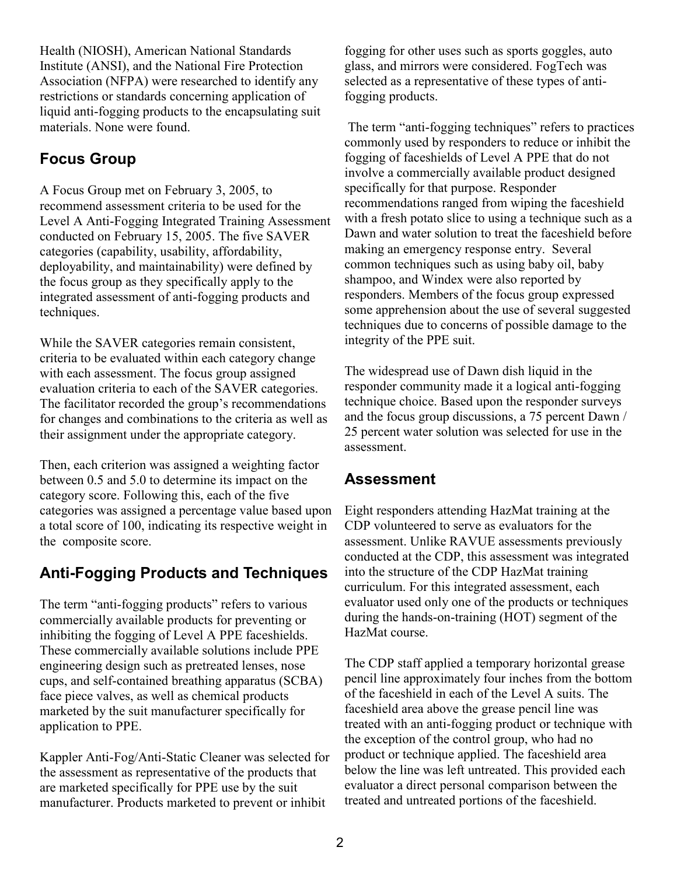Health (NIOSH), American National Standards Institute (ANSI), and the National Fire Protection Association (NFPA) were researched to identify any restrictions or standards concerning application of liquid anti-fogging products to the encapsulating suit materials. None were found.

#### Focus Group

 A Focus Group met on February 3, 2005, to recommend assessment criteria to be used for the Level A Anti-Fogging Integrated Training Assessment conducted on February 15, 2005. The five SAVER categories (capability, usability, affordability, deployability, and maintainability) were defined by the focus group as they specifically apply to the integrated assessment of anti-fogging products and techniques.

 While the SAVER categories remain consistent, criteria to be evaluated within each category change with each assessment. The focus group assigned evaluation criteria to each of the SAVER categories. The facilitator recorded the group's recommendations for changes and combinations to the criteria as well as their assignment under the appropriate category.

 Then, each criterion was assigned a weighting factor between 0.5 and 5.0 to determine its impact on the category score. Following this, each of the five categories was assigned a percentage value based upon a total score of 100, indicating its respective weight in the composite score.

#### Anti-Fogging Products and Techniques

The term "anti-fogging products" refers to various commercially available products for preventing or inhibiting the fogging of Level A PPE faceshields. These commercially available solutions include PPE engineering design such as pretreated lenses, nose cups, and self-contained breathing apparatus (SCBA) face piece valves, as well as chemical products marketed by the suit manufacturer specifically for application to PPE.

Kappler Anti-Fog/Anti-Static Cleaner was selected for the assessment as representative of the products that are marketed specifically for PPE use by the suit manufacturer. Products marketed to prevent or inhibit

 fogging for other uses such as sports goggles, auto glass, and mirrors were considered. FogTech was selected as a representative of these types of anti-fogging products.

The term "anti-fogging techniques" refers to practices commonly used by responders to reduce or inhibit the fogging of faceshields of Level A PPE that do not involve a commercially available product designed specifically for that purpose. Responder recommendations ranged from wiping the faceshield with a fresh potato slice to using a technique such as a Dawn and water solution to treat the faceshield before making an emergency response entry. Several common techniques such as using baby oil, baby shampoo, and Windex were also reported by responders. Members of the focus group expressed some apprehension about the use of several suggested techniques due to concerns of possible damage to the integrity of the PPE suit.

 The widespread use of Dawn dish liquid in the responder community made it a logical anti-fogging technique choice. Based upon the responder surveys and the focus group discussions, a 75 percent Dawn / 25 percent water solution was selected for use in the assessment.

#### Assessment

 Eight responders attending HazMat training at the CDP volunteered to serve as evaluators for the assessment. Unlike RAVUE assessments previously conducted at the CDP, this assessment was integrated into the structure of the CDP HazMat training curriculum. For this integrated assessment, each evaluator used only one of the products or techniques during the hands-on-training (HOT) segment of the HazMat course.

 The CDP staff applied a temporary horizontal grease pencil line approximately four inches from the bottom of the faceshield in each of the Level A suits. The faceshield area above the grease pencil line was treated with an anti-fogging product or technique with the exception of the control group, who had no product or technique applied. The faceshield area below the line was left untreated. This provided each evaluator a direct personal comparison between the treated and untreated portions of the faceshield.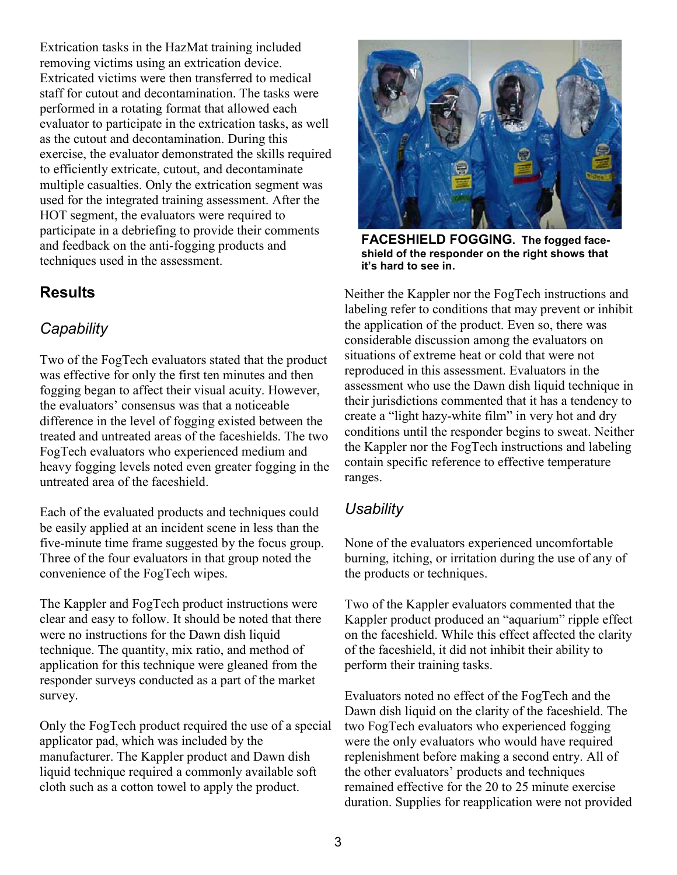Extrication tasks in the HazMat training included removing victims using an extrication device. Extricated victims were then transferred to medical staff for cutout and decontamination. The tasks were performed in a rotating format that allowed each evaluator to participate in the extrication tasks, as well as the cutout and decontamination. During this exercise, the evaluator demonstrated the skills required to efficiently extricate, cutout, and decontaminate multiple casualties. Only the extrication segment was used for the integrated training assessment. After the HOT segment, the evaluators were required to participate in a debriefing to provide their comments and feedback on the anti-fogging products and techniques used in the assessment.

#### **Results**

#### **Capability**

 Two of the FogTech evaluators stated that the product was effective for only the first ten minutes and then fogging began to affect their visual acuity. However, the evaluators' consensus was that a noticeable difference in the level of fogging existed between the treated and untreated areas of the faceshields. The two FogTech evaluators who experienced medium and heavy fogging levels noted even greater fogging in the untreated area of the faceshield.

 Each of the evaluated products and techniques could be easily applied at an incident scene in less than the five-minute time frame suggested by the focus group. Three of the four evaluators in that group noted the convenience of the FogTech wipes.

 The Kappler and FogTech product instructions were clear and easy to follow. It should be noted that there were no instructions for the Dawn dish liquid technique. The quantity, mix ratio, and method of application for this technique were gleaned from the responder surveys conducted as a part of the market survey.

 Only the FogTech product required the use of a special applicator pad, which was included by the manufacturer. The Kappler product and Dawn dish liquid technique required a commonly available soft cloth such as a cotton towel to apply the product.



 FACESHIELD FOGGING. The fogged face- shield of the responder on the right shows that it's hard to see in.

 Neither the Kappler nor the FogTech instructions and labeling refer to conditions that may prevent or inhibit the application of the product. Even so, there was considerable discussion among the evaluators on situations of extreme heat or cold that were not reproduced in this assessment. Evaluators in the assessment who use the Dawn dish liquid technique in their jurisdictions commented that it has a tendency to create a "light hazy-white film" in very hot and dry conditions until the responder begins to sweat. Neither the Kappler nor the FogTech instructions and labeling contain specific reference to effective temperature ranges.

#### **Usability**

 None of the evaluators experienced uncomfortable burning, itching, or irritation during the use of any of the products or techniques.

 Two of the Kappler evaluators commented that the Kappler product produced an "aquarium" ripple effect on the faceshield. While this effect affected the clarity of the faceshield, it did not inhibit their ability to perform their training tasks.

 Evaluators noted no effect of the FogTech and the Dawn dish liquid on the clarity of the faceshield. The two FogTech evaluators who experienced fogging were the only evaluators who would have required replenishment before making a second entry. All of the other evaluators' products and techniques remained effective for the 20 to 25 minute exercise duration. Supplies for reapplication were not provided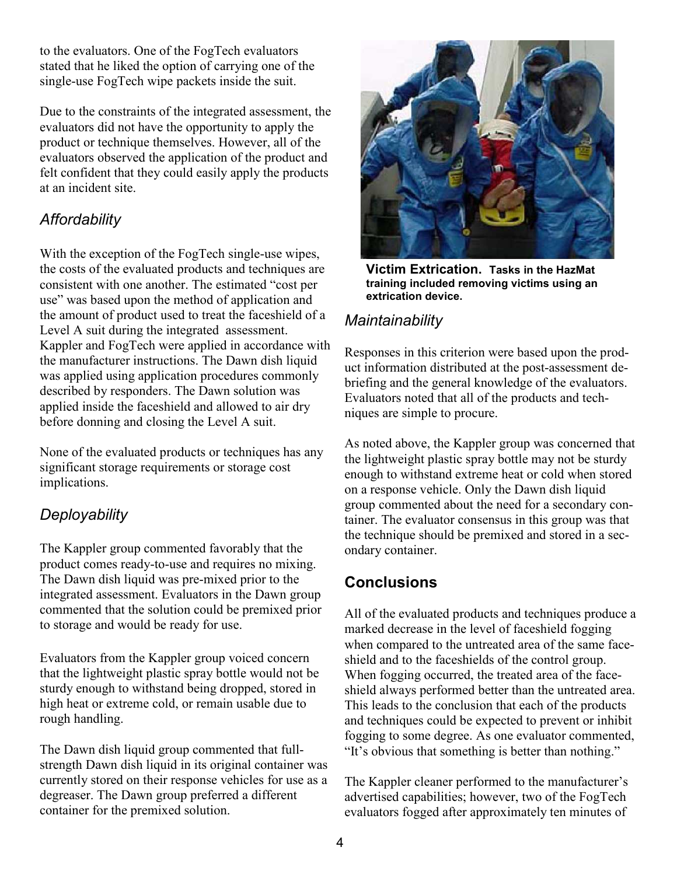to the evaluators. One of the FogTech evaluators stated that he liked the option of carrying one of the single-use FogTech wipe packets inside the suit.

 Due to the constraints of the integrated assessment, the evaluators did not have the opportunity to apply the product or technique themselves. However, all of the evaluators observed the application of the product and felt confident that they could easily apply the products at an incident site.

#### **Affordability**

With the exception of the FogTech single-use wipes, the costs of the evaluated products and techniques are consistent with one another. The estimated "cost per use" was based upon the method of application and the amount of product used to treat the faceshield of a Level A suit during the integrated assessment. Kappler and FogTech were applied in accordance with the manufacturer instructions. The Dawn dish liquid was applied using application procedures commonly described by responders. The Dawn solution was applied inside the faceshield and allowed to air dry before donning and closing the Level A suit.

 None of the evaluated products or techniques has any significant storage requirements or storage cost implications.

#### **Deployability**

 The Kappler group commented favorably that the product comes ready-to-use and requires no mixing. The Dawn dish liquid was pre-mixed prior to the integrated assessment. Evaluators in the Dawn group commented that the solution could be premixed prior to storage and would be ready for use.

 Evaluators from the Kappler group voiced concern that the lightweight plastic spray bottle would not be sturdy enough to withstand being dropped, stored in high heat or extreme cold, or remain usable due to rough handling.

 The Dawn dish liquid group commented that full- strength Dawn dish liquid in its original container was currently stored on their response vehicles for use as a degreaser. The Dawn group preferred a different container for the premixed solution.



 Victim Extrication. Tasks in the HazMat training included removing victims using an extrication device.

#### Maintainability

 Responses in this criterion were based upon the product information distributed at the post-assessment de- briefing and the general knowledge of the evaluators. Evaluators noted that all of the products and tech-niques are simple to procure.

 As noted above, the Kappler group was concerned that the lightweight plastic spray bottle may not be sturdy enough to withstand extreme heat or cold when stored on a response vehicle. Only the Dawn dish liquid group commented about the need for a secondary con- tainer. The evaluator consensus in this group was that the technique should be premixed and stored in a sec-ondary container.

#### **Conclusions**

 All of the evaluated products and techniques produce a marked decrease in the level of faceshield fogging when compared to the untreated area of the same face- shield and to the faceshields of the control group. When fogging occurred, the treated area of the face- This leads to the conclusion that each of the products and techniques could be expected to prevent or inhibit fogging to some degree. As one evaluator commented, "It's obvious that something is better than nothing." shield always performed better than the untreated area.

 The Kappler cleaner performed to the manufacturer's advertised capabilities; however, two of the FogTech evaluators fogged after approximately ten minutes of